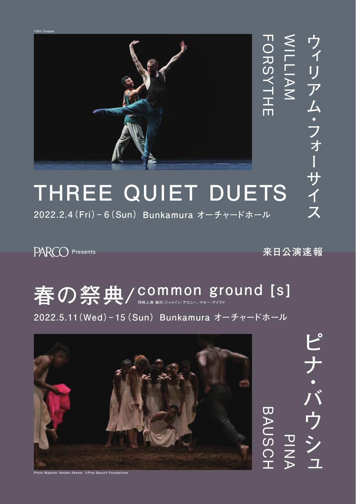

## **THREE QUIET DUETS**

**2022.2.4(Fri)‒ 6(Sun)Bunkamura オーチャードホール**

PARCO Presents **ARCO Presents ARCO Presents** 

## **春の祭典/ common ground [s] 同時上演 振付:ジャメイン・アコニー、マルー・アイラド**

**2022.5.11(Wed)‒ 15(Sun)Bunkamura オーチャードホール**



ピナ・バウシュ **PINA**